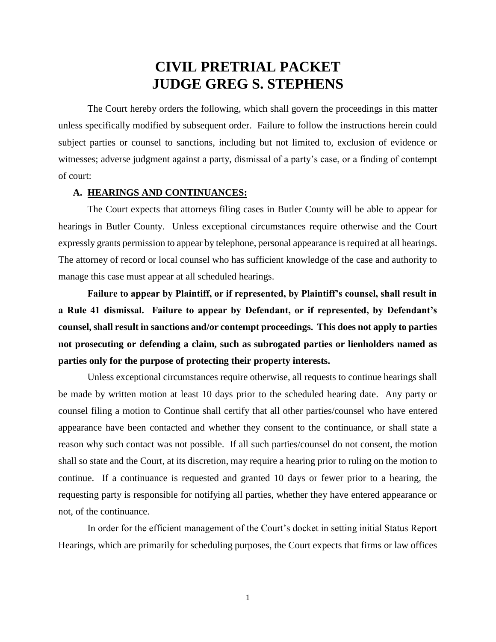# **CIVIL PRETRIAL PACKET JUDGE GREG S. STEPHENS**

The Court hereby orders the following, which shall govern the proceedings in this matter unless specifically modified by subsequent order. Failure to follow the instructions herein could subject parties or counsel to sanctions, including but not limited to, exclusion of evidence or witnesses; adverse judgment against a party, dismissal of a party's case, or a finding of contempt of court:

## **A. HEARINGS AND CONTINUANCES:**

The Court expects that attorneys filing cases in Butler County will be able to appear for hearings in Butler County. Unless exceptional circumstances require otherwise and the Court expressly grants permission to appear by telephone, personal appearance is required at all hearings. The attorney of record or local counsel who has sufficient knowledge of the case and authority to manage this case must appear at all scheduled hearings.

**Failure to appear by Plaintiff, or if represented, by Plaintiff's counsel, shall result in a Rule 41 dismissal. Failure to appear by Defendant, or if represented, by Defendant's counsel, shall result in sanctions and/or contempt proceedings. This does not apply to parties not prosecuting or defending a claim, such as subrogated parties or lienholders named as parties only for the purpose of protecting their property interests.**

Unless exceptional circumstances require otherwise, all requests to continue hearings shall be made by written motion at least 10 days prior to the scheduled hearing date. Any party or counsel filing a motion to Continue shall certify that all other parties/counsel who have entered appearance have been contacted and whether they consent to the continuance, or shall state a reason why such contact was not possible. If all such parties/counsel do not consent, the motion shall so state and the Court, at its discretion, may require a hearing prior to ruling on the motion to continue. If a continuance is requested and granted 10 days or fewer prior to a hearing, the requesting party is responsible for notifying all parties, whether they have entered appearance or not, of the continuance.

In order for the efficient management of the Court's docket in setting initial Status Report Hearings, which are primarily for scheduling purposes, the Court expects that firms or law offices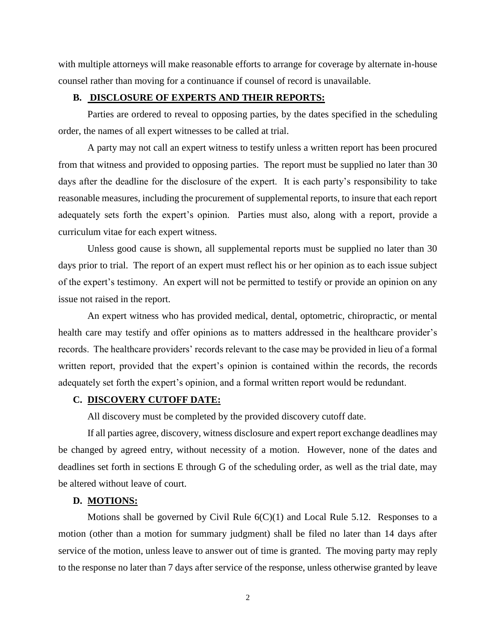with multiple attorneys will make reasonable efforts to arrange for coverage by alternate in-house counsel rather than moving for a continuance if counsel of record is unavailable.

# **B. DISCLOSURE OF EXPERTS AND THEIR REPORTS:**

Parties are ordered to reveal to opposing parties, by the dates specified in the scheduling order, the names of all expert witnesses to be called at trial.

A party may not call an expert witness to testify unless a written report has been procured from that witness and provided to opposing parties. The report must be supplied no later than 30 days after the deadline for the disclosure of the expert. It is each party's responsibility to take reasonable measures, including the procurement of supplemental reports, to insure that each report adequately sets forth the expert's opinion. Parties must also, along with a report, provide a curriculum vitae for each expert witness.

Unless good cause is shown, all supplemental reports must be supplied no later than 30 days prior to trial. The report of an expert must reflect his or her opinion as to each issue subject of the expert's testimony. An expert will not be permitted to testify or provide an opinion on any issue not raised in the report.

An expert witness who has provided medical, dental, optometric, chiropractic, or mental health care may testify and offer opinions as to matters addressed in the healthcare provider's records. The healthcare providers' records relevant to the case may be provided in lieu of a formal written report, provided that the expert's opinion is contained within the records, the records adequately set forth the expert's opinion, and a formal written report would be redundant.

### **C. DISCOVERY CUTOFF DATE:**

All discovery must be completed by the provided discovery cutoff date.

If all parties agree, discovery, witness disclosure and expert report exchange deadlines may be changed by agreed entry, without necessity of a motion. However, none of the dates and deadlines set forth in sections E through G of the scheduling order, as well as the trial date, may be altered without leave of court.

## **D. MOTIONS:**

Motions shall be governed by Civil Rule  $6(C)(1)$  and Local Rule 5.12. Responses to a motion (other than a motion for summary judgment) shall be filed no later than 14 days after service of the motion, unless leave to answer out of time is granted. The moving party may reply to the response no later than 7 days after service of the response, unless otherwise granted by leave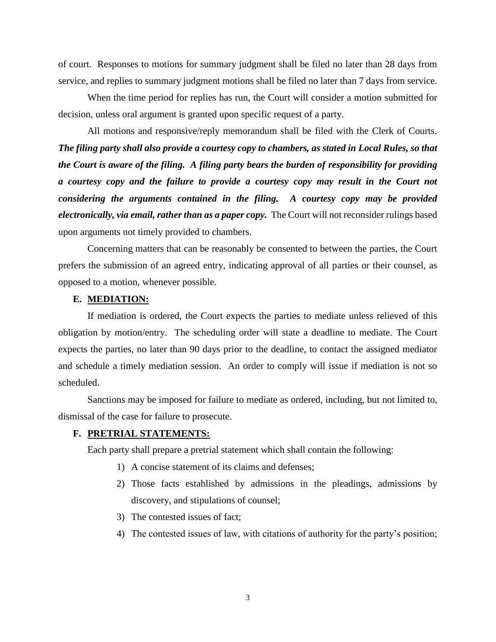of court. Responses to motions for summary judgment shall be filed no later than 28 days from service, and replies to summary judgment motions shall be filed no later than 7 days from service.

When the time period for replies has run, the Court will consider a motion submitted for decision, unless oral argument is granted upon specific request of a party.

All motions and responsive/reply memorandum shall be filed with the Clerk of Courts. *The filing party shall also provide a courtesy copy to chambers, as stated in Local Rules, so that the Court is aware of the filing. A filing party bears the burden of responsibility for providing a courtesy copy and the failure to provide a courtesy copy may result in the Court not considering the arguments contained in the filing. A courtesy copy may be provided electronically, via email, rather than as a paper copy.* The Court will not reconsider rulings based upon arguments not timely provided to chambers.

Concerning matters that can be reasonably be consented to between the parties, the Court prefers the submission of an agreed entry, indicating approval of all parties or their counsel, as opposed to a motion, whenever possible.

# **E. MEDIATION:**

If mediation is ordered, the Court expects the parties to mediate unless relieved of this obligation by motion/entry. The scheduling order will state a deadline to mediate. The Court expects the parties, no later than 90 days prior to the deadline, to contact the assigned mediator and schedule a timely mediation session. An order to comply will issue if mediation is not so scheduled.

Sanctions may be imposed for failure to mediate as ordered, including, but not limited to, dismissal of the case for failure to prosecute.

## **F. PRETRIAL STATEMENTS:**

Each party shall prepare a pretrial statement which shall contain the following:

- 1) A concise statement of its claims and defenses;
- 2) Those facts established by admissions in the pleadings, admissions by discovery, and stipulations of counsel;
- 3) The contested issues of fact;
- 4) The contested issues of law, with citations of authority for the party's position;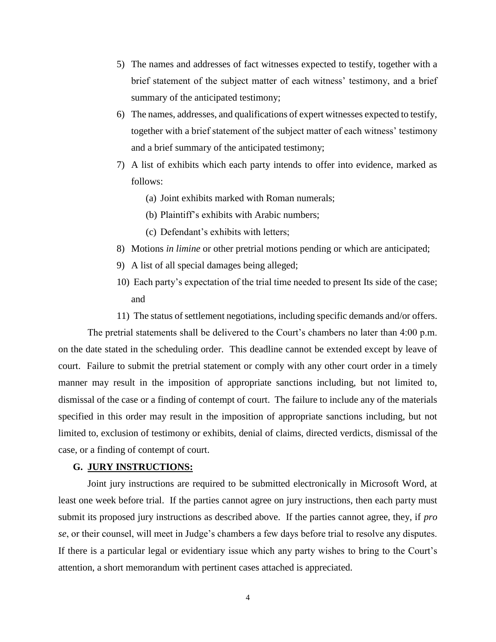- 5) The names and addresses of fact witnesses expected to testify, together with a brief statement of the subject matter of each witness' testimony, and a brief summary of the anticipated testimony;
- 6) The names, addresses, and qualifications of expert witnesses expected to testify, together with a brief statement of the subject matter of each witness' testimony and a brief summary of the anticipated testimony;
- 7) A list of exhibits which each party intends to offer into evidence, marked as follows:
	- (a) Joint exhibits marked with Roman numerals;
	- (b) Plaintiff's exhibits with Arabic numbers;
	- (c) Defendant's exhibits with letters;
- 8) Motions *in limine* or other pretrial motions pending or which are anticipated;
- 9) A list of all special damages being alleged;
- 10) Each party's expectation of the trial time needed to present Its side of the case; and
- 11) The status of settlement negotiations, including specific demands and/or offers.

The pretrial statements shall be delivered to the Court's chambers no later than 4:00 p.m. on the date stated in the scheduling order. This deadline cannot be extended except by leave of court. Failure to submit the pretrial statement or comply with any other court order in a timely manner may result in the imposition of appropriate sanctions including, but not limited to, dismissal of the case or a finding of contempt of court. The failure to include any of the materials specified in this order may result in the imposition of appropriate sanctions including, but not limited to, exclusion of testimony or exhibits, denial of claims, directed verdicts, dismissal of the case, or a finding of contempt of court.

#### **G. JURY INSTRUCTIONS:**

Joint jury instructions are required to be submitted electronically in Microsoft Word, at least one week before trial. If the parties cannot agree on jury instructions, then each party must submit its proposed jury instructions as described above. If the parties cannot agree, they, if *pro se*, or their counsel, will meet in Judge's chambers a few days before trial to resolve any disputes. If there is a particular legal or evidentiary issue which any party wishes to bring to the Court's attention, a short memorandum with pertinent cases attached is appreciated.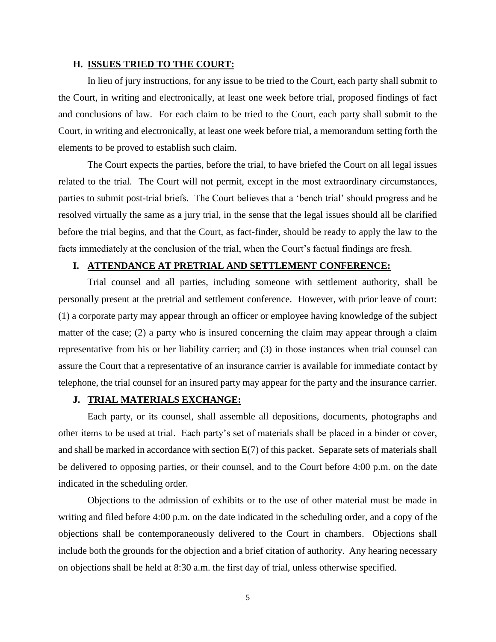## **H. ISSUES TRIED TO THE COURT:**

In lieu of jury instructions, for any issue to be tried to the Court, each party shall submit to the Court, in writing and electronically, at least one week before trial, proposed findings of fact and conclusions of law. For each claim to be tried to the Court, each party shall submit to the Court, in writing and electronically, at least one week before trial, a memorandum setting forth the elements to be proved to establish such claim.

The Court expects the parties, before the trial, to have briefed the Court on all legal issues related to the trial. The Court will not permit, except in the most extraordinary circumstances, parties to submit post-trial briefs. The Court believes that a 'bench trial' should progress and be resolved virtually the same as a jury trial, in the sense that the legal issues should all be clarified before the trial begins, and that the Court, as fact-finder, should be ready to apply the law to the facts immediately at the conclusion of the trial, when the Court's factual findings are fresh.

## **I. ATTENDANCE AT PRETRIAL AND SETTLEMENT CONFERENCE:**

Trial counsel and all parties, including someone with settlement authority, shall be personally present at the pretrial and settlement conference. However, with prior leave of court: (1) a corporate party may appear through an officer or employee having knowledge of the subject matter of the case; (2) a party who is insured concerning the claim may appear through a claim representative from his or her liability carrier; and (3) in those instances when trial counsel can assure the Court that a representative of an insurance carrier is available for immediate contact by telephone, the trial counsel for an insured party may appear for the party and the insurance carrier.

## **J. TRIAL MATERIALS EXCHANGE:**

Each party, or its counsel, shall assemble all depositions, documents, photographs and other items to be used at trial. Each party's set of materials shall be placed in a binder or cover, and shall be marked in accordance with section E(7) of this packet. Separate sets of materials shall be delivered to opposing parties, or their counsel, and to the Court before 4:00 p.m. on the date indicated in the scheduling order.

Objections to the admission of exhibits or to the use of other material must be made in writing and filed before 4:00 p.m. on the date indicated in the scheduling order, and a copy of the objections shall be contemporaneously delivered to the Court in chambers. Objections shall include both the grounds for the objection and a brief citation of authority. Any hearing necessary on objections shall be held at 8:30 a.m. the first day of trial, unless otherwise specified.